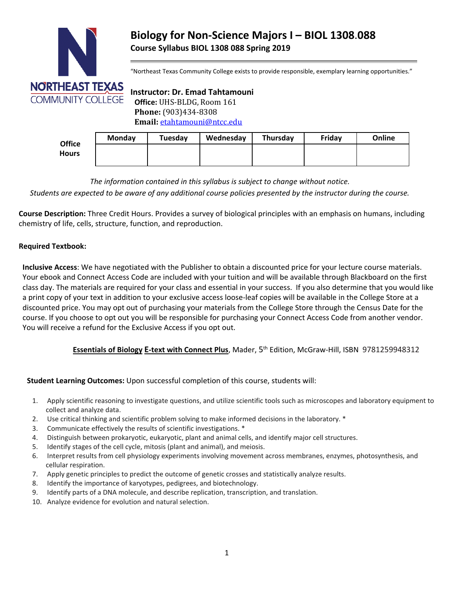

# **Biology for Non-Science Majors I – BIOL 1308**.**088 Course Syllabus BIOL 1308 088 Spring 2019**

"Northeast Texas Community College exists to provide responsible, exemplary learning opportunities."

## **Instructor: Dr. Emad Tahtamouni**

 **Phone:** (903)434-8308  **Email:** [etahtamouni@ntcc.edu](mailto:etahtamouni@ntcc.edu)

| <b>Office</b><br><b>Hours</b> | <b>Monday</b> | Tuesday | Wednesday | Thursday | Friday | Online |
|-------------------------------|---------------|---------|-----------|----------|--------|--------|
|                               |               |         |           |          |        |        |
|                               |               |         |           |          |        |        |

*The information contained in this syllabus is subject to change without notice.*

*Students are expected to be aware of any additional course policies presented by the instructor during the course.*

**Course Description:** Three Credit Hours. Provides a survey of biological principles with an emphasis on humans, including chemistry of life, cells, structure, function, and reproduction.

#### **Required Textbook:**

**Inclusive Access**: We have negotiated with the Publisher to obtain a discounted price for your lecture course materials. Your ebook and Connect Access Code are included with your tuition and will be available through Blackboard on the first class day. The materials are required for your class and essential in your success. If you also determine that you would like a print copy of your text in addition to your exclusive access loose-leaf copies will be available in the College Store at a discounted price. You may opt out of purchasing your materials from the College Store through the Census Date for the course. If you choose to opt out you will be responsible for purchasing your Connect Access Code from another vendor. You will receive a refund for the Exclusive Access if you opt out.

#### **Essentials of Biology E-text with Connect Plus**, Mader, 5th Edition, McGraw-Hill, ISBN 9781259948312

#### **Student Learning Outcomes:** Upon successful completion of this course, students will:

- 1. Apply scientific reasoning to investigate questions, and utilize scientific tools such as microscopes and laboratory equipment to collect and analyze data.
- 2. Use critical thinking and scientific problem solving to make informed decisions in the laboratory. \*
- 3. Communicate effectively the results of scientific investigations. \*
- 4. Distinguish between prokaryotic, eukaryotic, plant and animal cells, and identify major cell structures.
- 5. Identify stages of the cell cycle, mitosis (plant and animal), and meiosis.
- 6. Interpret results from cell physiology experiments involving movement across membranes, enzymes, photosynthesis, and cellular respiration.
- 7. Apply genetic principles to predict the outcome of genetic crosses and statistically analyze results.
- 8. Identify the importance of karyotypes, pedigrees, and biotechnology.
- 9. Identify parts of a DNA molecule, and describe replication, transcription, and translation.
- 10. Analyze evidence for evolution and natural selection.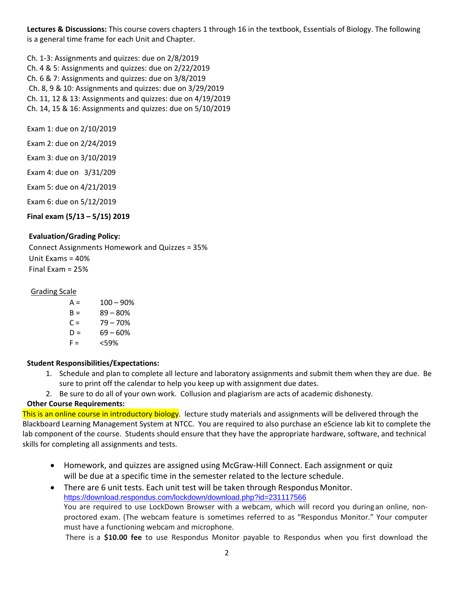**Lectures & Discussions:** This course covers chapters 1 through 16 in the textbook, Essentials of Biology. The following is a general time frame for each Unit and Chapter.

Ch. 1-3: Assignments and quizzes: due on 2/8/2019 Ch. 4 & 5: Assignments and quizzes: due on 2/22/2019 Ch. 6 & 7: Assignments and quizzes: due on 3/8/2019 Ch. 8, 9 & 10: Assignments and quizzes: due on 3/29/2019 Ch. 11, 12 & 13: Assignments and quizzes: due on 4/19/2019 Ch. 14, 15 & 16: Assignments and quizzes: due on 5/10/2019

Exam 1: due on 2/10/2019

Exam 2: due on 2/24/2019

Exam 3: due on 3/10/2019

Exam 4: due on 3/31/209

Exam 5: due on 4/21/2019

Exam 6: due on 5/12/2019

**Final exam (5/13 – 5/15) 2019**

#### **Evaluation/Grading Policy:**

Connect Assignments Homework and Quizzes = 35% Unit  $Fxams = 40%$ Final Exam = 25%

#### Grading Scale

 $A = 100 - 90%$  $B = 89 - 80%$  $C = 79 - 70%$  $D = 69 - 60%$  $F = \frac{59\%}{20}$ 

#### **Student Responsibilities/Expectations:**

1. Schedule and plan to complete all lecture and laboratory assignments and submit them when they are due. Be sure to print off the calendar to help you keep up with assignment due dates.

2. Be sure to do all of your own work. Collusion and plagiarism are acts of academic dishonesty.

#### **Other Course Requirements:**

This is an online course in introductory biology. lecture study materials and assignments will be delivered through the Blackboard Learning Management System at NTCC. You are required to also purchase an eScience lab kit to complete the lab component of the course. Students should ensure that they have the appropriate hardware, software, and technical skills for completing all assignments and tests.

- Homework, and quizzes are assigned using McGraw-Hill Connect. Each assignment or quiz will be due at a specific time in the semester related to the lecture schedule.
- There are 6 unit tests. Each unit test will be taken through Respondus Monitor. <https://download.respondus.com/lockdown/download.php?id=231117566> You are required to use LockDown Browser with a webcam, which will record you duringan online, nonproctored exam. (The webcam feature is sometimes referred to as "Respondus Monitor." Your computer must have a functioning webcam and microphone.

There is a **\$10.00 fee** to use Respondus Monitor payable to Respondus when you first download the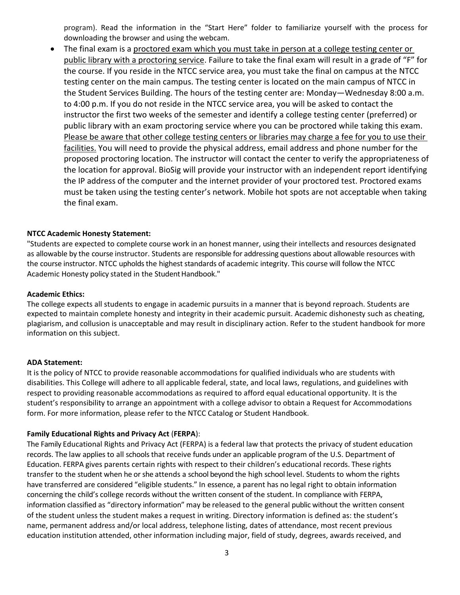program). Read the information in the "Start Here" folder to familiarize yourself with the process for downloading the browser and using the webcam.

• The final exam is a proctored exam which you must take in person at a college testing center or public library with a proctoring service. Failure to take the final exam will result in a grade of "F" for the course. If you reside in the NTCC service area, you must take the final on campus at the NTCC testing center on the main campus. The testing center is located on the main campus of NTCC in the Student Services Building. The hours of the testing center are: Monday—Wednesday 8:00 a.m. to 4:00 p.m. If you do not reside in the NTCC service area, you will be asked to contact the instructor the first two weeks of the semester and identify a college testing center (preferred) or public library with an exam proctoring service where you can be proctored while taking this exam. Please be aware that other college testing centers or libraries may charge a fee for you to use their facilities. You will need to provide the physical address, email address and phone number for the proposed proctoring location. The instructor will contact the center to verify the appropriateness of the location for approval. BioSig will provide your instructor with an independent report identifying the IP address of the computer and the internet provider of your proctored test. Proctored exams must be taken using the testing center's network. Mobile hot spots are not acceptable when taking the final exam.

#### **NTCC Academic Honesty Statement:**

"Students are expected to complete course work in an honest manner, using their intellects and resources designated as allowable by the course instructor. Students are responsible for addressing questions about allowable resources with the course instructor. NTCC upholds the highest standards of academic integrity. This course will follow the NTCC Academic Honesty policy stated in the Student Handbook."

#### **Academic Ethics:**

The college expects all students to engage in academic pursuits in a manner that is beyond reproach. Students are expected to maintain complete honesty and integrity in their academic pursuit. Academic dishonesty such as cheating, plagiarism, and collusion is unacceptable and may result in disciplinary action. Refer to the student handbook for more information on this subject.

#### **ADA Statement:**

It is the policy of NTCC to provide reasonable accommodations for qualified individuals who are students with disabilities. This College will adhere to all applicable federal, state, and local laws, regulations, and guidelines with respect to providing reasonable accommodations as required to afford equal educational opportunity. It is the student's responsibility to arrange an appointment with a college advisor to obtain a Request for Accommodations form. For more information, please refer to the NTCC Catalog or Student Handbook.

#### **Family Educational Rights and Privacy Act** (**FERPA**):

The Family Educational Rights and Privacy Act (FERPA) is a federal law that protects the privacy of student education records. The law applies to all schools that receive funds under an applicable program of the U.S. Department of Education. FERPA gives parents certain rights with respect to their children's educational records. These rights transfer to the student when he or she attends a school beyond the high school level. Students to whom the rights have transferred are considered "eligible students." In essence, a parent has no legal right to obtain information concerning the child's college records without the written consent of the student. In compliance with FERPA, information classified as "directory information" may be released to the general public without the written consent of the student unless the student makes a request in writing. Directory information is defined as: the student's name, permanent address and/or local address, telephone listing, dates of attendance, most recent previous education institution attended, other information including major, field of study, degrees, awards received, and